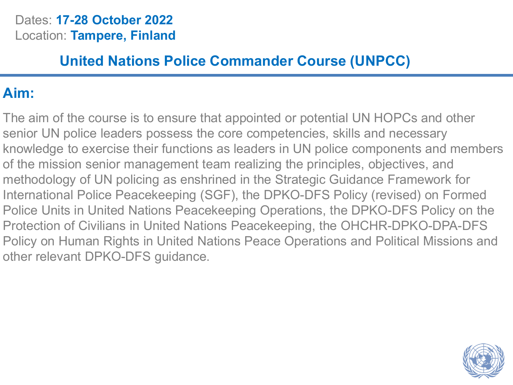#### Dates: **17-28 October 2022** Location: **Tampere, Finland**

### **United Nations Police Commander Course (UNPCC)**

### **Aim:**

The aim of the course is to ensure that appointed or potential UN HOPCs and other senior UN police leaders possess the core competencies, skills and necessary knowledge to exercise their functions as leaders in UN police components and members of the mission senior management team realizing the principles, objectives, and methodology of UN policing as enshrined in the Strategic Guidance Framework for International Police Peacekeeping (SGF), the DPKO-DFS Policy (revised) on Formed Police Units in United Nations Peacekeeping Operations, the DPKO-DFS Policy on the Protection of Civilians in United Nations Peacekeeping, the OHCHR-DPKO-DPA-DFS Policy on Human Rights in United Nations Peace Operations and Political Missions and other relevant DPKO-DFS guidance.

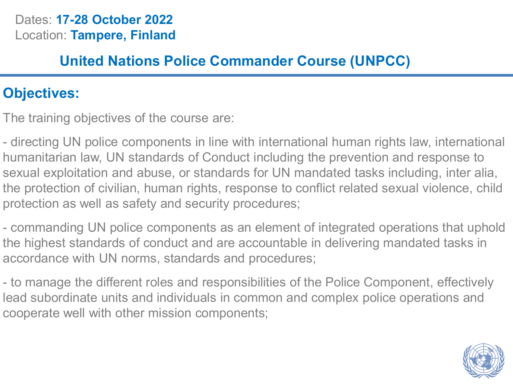#### Dates: **17-28 October 2022** Location: **Tampere, Finland**

### **United Nations Police Commander Course (UNPCC)**

### **Objectives:**

The training objectives of the course are:

- directing UN police components in line with international human rights law, international humanitarian law, UN standards of Conduct including the prevention and response to sexual exploitation and abuse, or standards for UN mandated tasks including, inter alia, the protection of civilian, human rights, response to conflict related sexual violence, child protection as well as safety and security procedures;

- commanding UN police components as an element of integrated operations that uphold the highest standards of conduct and are accountable in delivering mandated tasks in accordance with UN norms, standards and procedures;

- to manage the different roles and responsibilities of the Police Component, effectively lead subordinate units and individuals in common and complex police operations and cooperate well with other mission components;